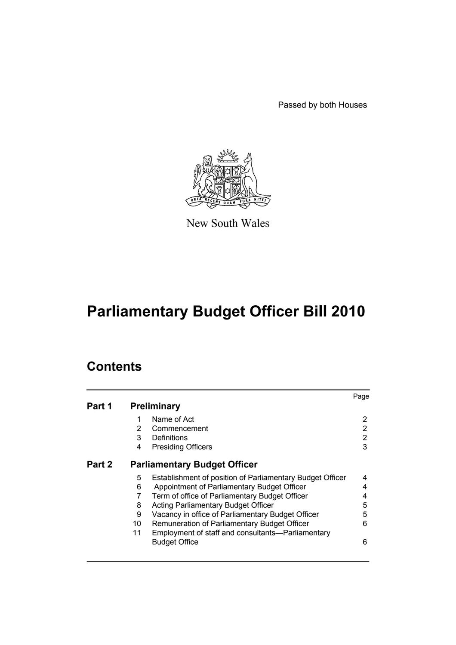Passed by both Houses



New South Wales

# **Parliamentary Budget Officer Bill 2010**

# **Contents**

|        |                                     |                                                           | Page |  |
|--------|-------------------------------------|-----------------------------------------------------------|------|--|
| Part 1 |                                     | <b>Preliminary</b>                                        |      |  |
|        | 1                                   | Name of Act                                               | 2    |  |
|        | $\overline{2}$                      | Commencement                                              | 2    |  |
|        | 3                                   | Definitions                                               | 2    |  |
|        | 4                                   | <b>Presiding Officers</b>                                 | 3    |  |
| Part 2 | <b>Parliamentary Budget Officer</b> |                                                           |      |  |
|        | 5                                   | Establishment of position of Parliamentary Budget Officer | 4    |  |
|        | 6                                   | Appointment of Parliamentary Budget Officer               | 4    |  |
|        | 7                                   | Term of office of Parliamentary Budget Officer            | 4    |  |
|        | 8                                   | Acting Parliamentary Budget Officer                       | 5    |  |
|        | 9                                   | Vacancy in office of Parliamentary Budget Officer         | 5    |  |
|        | 10                                  | Remuneration of Parliamentary Budget Officer              | 6    |  |
|        | 11                                  | Employment of staff and consultants-Parliamentary         |      |  |
|        |                                     | <b>Budget Office</b>                                      | 6    |  |
|        |                                     |                                                           |      |  |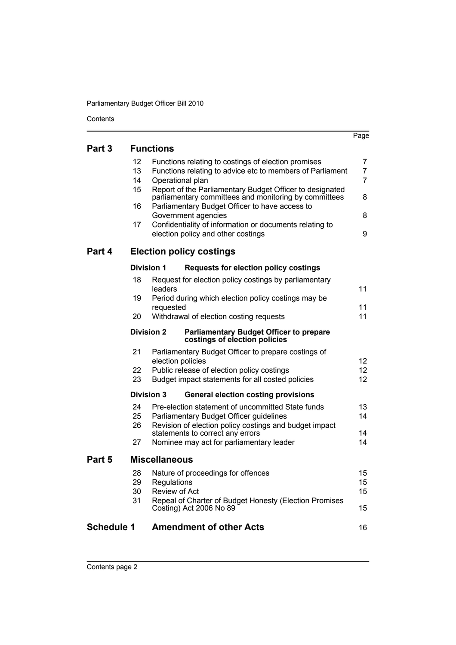Parliamentary Budget Officer Bill 2010

Contents

| <b>Functions</b><br>Part 3<br>12<br>Functions relating to costings of election promises<br>13<br>Functions relating to advice etc to members of Parliament | 7              |
|------------------------------------------------------------------------------------------------------------------------------------------------------------|----------------|
|                                                                                                                                                            |                |
|                                                                                                                                                            |                |
|                                                                                                                                                            | 7              |
| 14<br>Operational plan                                                                                                                                     | $\overline{7}$ |
| 15<br>Report of the Parliamentary Budget Officer to designated<br>parliamentary committees and monitoring by committees                                    | 8              |
| Parliamentary Budget Officer to have access to<br>16                                                                                                       |                |
| Government agencies                                                                                                                                        | 8              |
| Confidentiality of information or documents relating to<br>17<br>election policy and other costings                                                        | 9              |
| Part 4<br><b>Election policy costings</b>                                                                                                                  |                |
| <b>Division 1</b><br><b>Requests for election policy costings</b>                                                                                          |                |
| 18<br>Request for election policy costings by parliamentary<br>leaders                                                                                     | 11             |
| 19<br>Period during which election policy costings may be<br>requested                                                                                     | 11             |
| 20<br>Withdrawal of election costing requests                                                                                                              | 11             |
| <b>Division 2</b><br><b>Parliamentary Budget Officer to prepare</b><br>costings of election policies                                                       |                |
| 21<br>Parliamentary Budget Officer to prepare costings of<br>election policies                                                                             | 12             |
| 22<br>Public release of election policy costings                                                                                                           | 12             |
| 23<br>Budget impact statements for all costed policies                                                                                                     | 12             |
| <b>Division 3</b><br><b>General election costing provisions</b>                                                                                            |                |
| 24<br>Pre-election statement of uncommitted State funds                                                                                                    | 13             |
| 25<br>Parliamentary Budget Officer guidelines                                                                                                              | 14             |
| Revision of election policy costings and budget impact<br>26<br>statements to correct any errors                                                           | 14             |
| 27<br>Nominee may act for parliamentary leader                                                                                                             | 14             |
| <b>Miscellaneous</b><br>Part 5                                                                                                                             |                |
| Nature of proceedings for offences<br>28                                                                                                                   | 15             |
| 29<br>Regulations                                                                                                                                          | 15             |
| 30<br>Review of Act                                                                                                                                        | 15             |
| 31<br>Repeal of Charter of Budget Honesty (Election Promises<br>Costing) Act 2006 No 89                                                                    | 15             |
| <b>Schedule 1</b><br><b>Amendment of other Acts</b>                                                                                                        | 16             |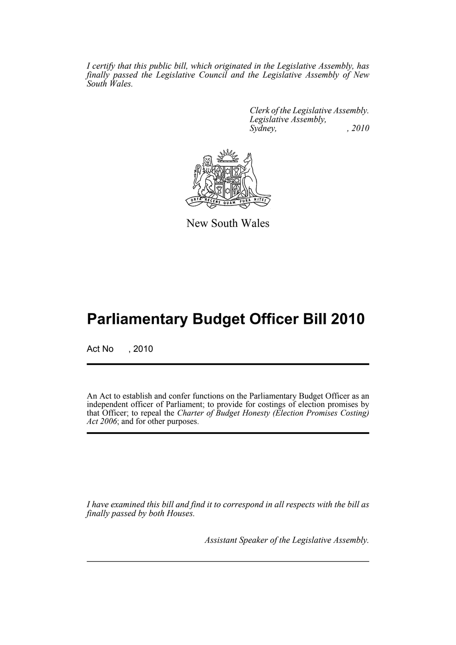*I certify that this public bill, which originated in the Legislative Assembly, has finally passed the Legislative Council and the Legislative Assembly of New South Wales.*

> *Clerk of the Legislative Assembly. Legislative Assembly, Sydney, , 2010*



New South Wales

# **Parliamentary Budget Officer Bill 2010**

Act No , 2010

An Act to establish and confer functions on the Parliamentary Budget Officer as an independent officer of Parliament; to provide for costings of election promises by that Officer; to repeal the *Charter of Budget Honesty (Election Promises Costing) Act 2006*; and for other purposes.

*I have examined this bill and find it to correspond in all respects with the bill as finally passed by both Houses.*

*Assistant Speaker of the Legislative Assembly.*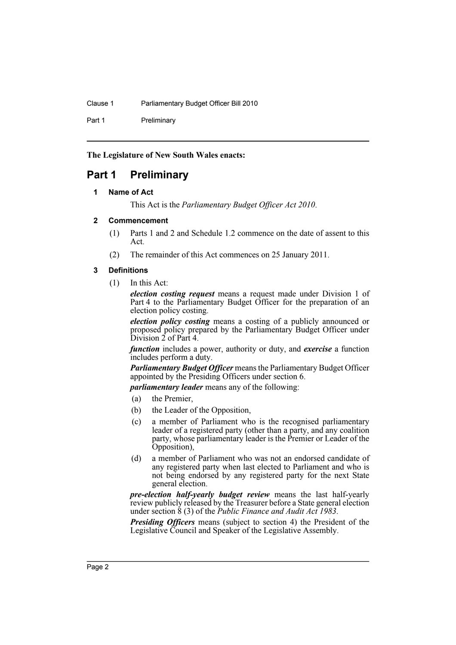Clause 1 Parliamentary Budget Officer Bill 2010

Part 1 Preliminary

**The Legislature of New South Wales enacts:**

# <span id="page-3-1"></span><span id="page-3-0"></span>**Part 1 Preliminary**

# **1 Name of Act**

This Act is the *Parliamentary Budget Officer Act 2010*.

#### <span id="page-3-2"></span>**2 Commencement**

- (1) Parts 1 and 2 and Schedule 1.2 commence on the date of assent to this Act.
- (2) The remainder of this Act commences on 25 January 2011.

#### <span id="page-3-3"></span>**3 Definitions**

(1) In this Act:

*election costing request* means a request made under Division 1 of Part 4 to the Parliamentary Budget Officer for the preparation of an election policy costing.

*election policy costing* means a costing of a publicly announced or proposed policy prepared by the Parliamentary Budget Officer under Division 2 of Part 4.

*function* includes a power, authority or duty, and *exercise* a function includes perform a duty.

*Parliamentary Budget Officer* means the Parliamentary Budget Officer appointed by the Presiding Officers under section 6.

*parliamentary leader* means any of the following:

- (a) the Premier,
- (b) the Leader of the Opposition,
- (c) a member of Parliament who is the recognised parliamentary leader of a registered party (other than a party, and any coalition party, whose parliamentary leader is the Premier or Leader of the Opposition),
- (d) a member of Parliament who was not an endorsed candidate of any registered party when last elected to Parliament and who is not being endorsed by any registered party for the next State general election.

*pre-election half-yearly budget review* means the last half-yearly review publicly released by the Treasurer before a State general election under section 8 (3) of the *Public Finance and Audit Act 1983*.

*Presiding Officers* means (subject to section 4) the President of the Legislative Council and Speaker of the Legislative Assembly.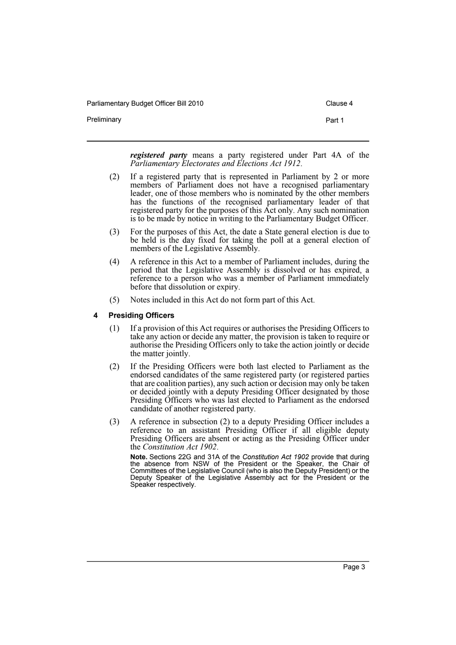Preliminary **Preliminary Part 1** 

*registered party* means a party registered under Part 4A of the *Parliamentary Electorates and Elections Act 1912*.

- (2) If a registered party that is represented in Parliament by 2 or more members of Parliament does not have a recognised parliamentary leader, one of those members who is nominated by the other members has the functions of the recognised parliamentary leader of that registered party for the purposes of this Act only. Any such nomination is to be made by notice in writing to the Parliamentary Budget Officer.
- (3) For the purposes of this Act, the date a State general election is due to be held is the day fixed for taking the poll at a general election of members of the Legislative Assembly.
- (4) A reference in this Act to a member of Parliament includes, during the period that the Legislative Assembly is dissolved or has expired, a reference to a person who was a member of Parliament immediately before that dissolution or expiry.
- (5) Notes included in this Act do not form part of this Act.

#### <span id="page-4-0"></span>**4 Presiding Officers**

- (1) If a provision of this Act requires or authorises the Presiding Officers to take any action or decide any matter, the provision is taken to require or authorise the Presiding Officers only to take the action jointly or decide the matter jointly.
- (2) If the Presiding Officers were both last elected to Parliament as the endorsed candidates of the same registered party (or registered parties that are coalition parties), any such action or decision may only be taken or decided jointly with a deputy Presiding Officer designated by those Presiding Officers who was last elected to Parliament as the endorsed candidate of another registered party.
- (3) A reference in subsection (2) to a deputy Presiding Officer includes a reference to an assistant Presiding Officer if all eligible deputy Presiding Officers are absent or acting as the Presiding Officer under the *Constitution Act 1902*.

**Note.** Sections 22G and 31A of the *Constitution Act 1902* provide that during the absence from NSW of the President or the Speaker, the Chair of Committees of the Legislative Council (who is also the Deputy President) or the Deputy Speaker of the Legislative Assembly act for the President or the Speaker respectively.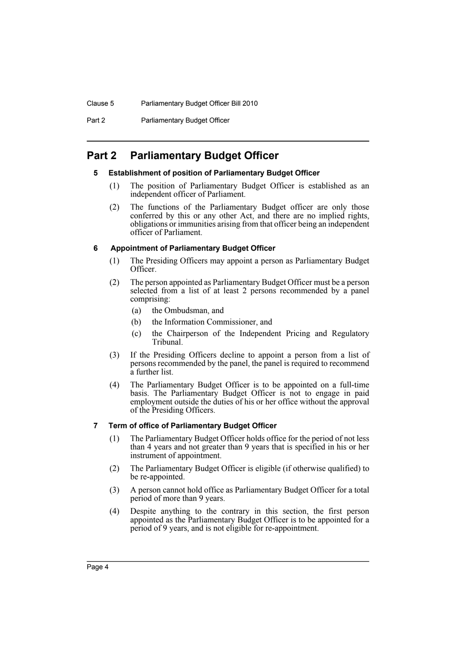Clause 5 Parliamentary Budget Officer Bill 2010

Part 2 **Parliamentary Budget Officer** 

# <span id="page-5-1"></span><span id="page-5-0"></span>**Part 2 Parliamentary Budget Officer**

# **5 Establishment of position of Parliamentary Budget Officer**

- (1) The position of Parliamentary Budget Officer is established as an independent officer of Parliament.
- (2) The functions of the Parliamentary Budget officer are only those conferred by this or any other Act, and there are no implied rights, obligations or immunities arising from that officer being an independent officer of Parliament.

# <span id="page-5-2"></span>**6 Appointment of Parliamentary Budget Officer**

- (1) The Presiding Officers may appoint a person as Parliamentary Budget Officer.
- (2) The person appointed as Parliamentary Budget Officer must be a person selected from a list of at least 2 persons recommended by a panel comprising:
	- (a) the Ombudsman, and
	- (b) the Information Commissioner, and
	- (c) the Chairperson of the Independent Pricing and Regulatory Tribunal.
- (3) If the Presiding Officers decline to appoint a person from a list of persons recommended by the panel, the panel is required to recommend a further list.
- (4) The Parliamentary Budget Officer is to be appointed on a full-time basis. The Parliamentary Budget Officer is not to engage in paid employment outside the duties of his or her office without the approval of the Presiding Officers.

# <span id="page-5-3"></span>**7 Term of office of Parliamentary Budget Officer**

- (1) The Parliamentary Budget Officer holds office for the period of not less than 4 years and not greater than 9 years that is specified in his or her instrument of appointment.
- (2) The Parliamentary Budget Officer is eligible (if otherwise qualified) to be re-appointed.
- (3) A person cannot hold office as Parliamentary Budget Officer for a total period of more than 9 years.
- (4) Despite anything to the contrary in this section, the first person appointed as the Parliamentary Budget Officer is to be appointed for a period of 9 years, and is not eligible for re-appointment.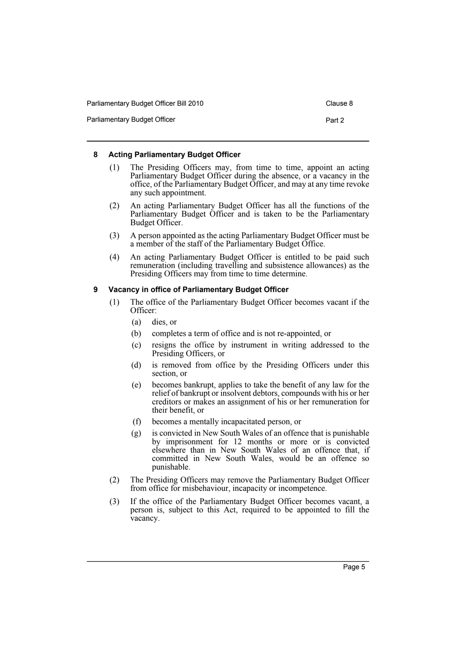| Parliamentary Budget Officer Bill 2010 | Clause 8 |
|----------------------------------------|----------|
| Parliamentary Budget Officer           | Part 2   |

# <span id="page-6-0"></span>**8 Acting Parliamentary Budget Officer**

- (1) The Presiding Officers may, from time to time, appoint an acting Parliamentary Budget Officer during the absence, or a vacancy in the office, of the Parliamentary Budget Officer, and may at any time revoke any such appointment.
- (2) An acting Parliamentary Budget Officer has all the functions of the Parliamentary Budget Officer and is taken to be the Parliamentary Budget Officer.
- (3) A person appointed as the acting Parliamentary Budget Officer must be a member of the staff of the Parliamentary Budget Office.
- (4) An acting Parliamentary Budget Officer is entitled to be paid such remuneration (including travelling and subsistence allowances) as the Presiding Officers may from time to time determine.

# <span id="page-6-1"></span>**9 Vacancy in office of Parliamentary Budget Officer**

- (1) The office of the Parliamentary Budget Officer becomes vacant if the Officer:
	- (a) dies, or
	- (b) completes a term of office and is not re-appointed, or
	- (c) resigns the office by instrument in writing addressed to the Presiding Officers, or
	- (d) is removed from office by the Presiding Officers under this section, or
	- (e) becomes bankrupt, applies to take the benefit of any law for the relief of bankrupt or insolvent debtors, compounds with his or her creditors or makes an assignment of his or her remuneration for their benefit, or
	- (f) becomes a mentally incapacitated person, or
	- (g) is convicted in New South Wales of an offence that is punishable by imprisonment for 12 months or more or is convicted elsewhere than in New South Wales of an offence that, if committed in New South Wales, would be an offence so punishable.
- (2) The Presiding Officers may remove the Parliamentary Budget Officer from office for misbehaviour, incapacity or incompetence.
- (3) If the office of the Parliamentary Budget Officer becomes vacant, a person is, subject to this Act, required to be appointed to fill the vacancy.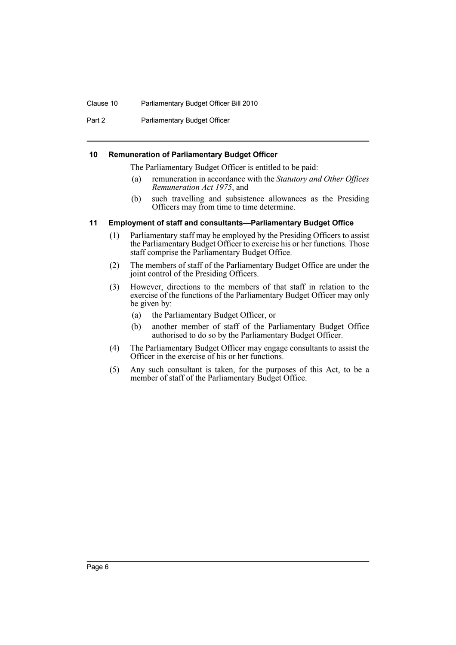#### Clause 10 Parliamentary Budget Officer Bill 2010

Part 2 **Parliamentary Budget Officer** 

#### <span id="page-7-0"></span>**10 Remuneration of Parliamentary Budget Officer**

The Parliamentary Budget Officer is entitled to be paid:

- (a) remuneration in accordance with the *Statutory and Other Offices Remuneration Act 1975*, and
- (b) such travelling and subsistence allowances as the Presiding Officers may from time to time determine.

#### <span id="page-7-1"></span>**11 Employment of staff and consultants—Parliamentary Budget Office**

- (1) Parliamentary staff may be employed by the Presiding Officers to assist the Parliamentary Budget Officer to exercise his or her functions. Those staff comprise the Parliamentary Budget Office.
- (2) The members of staff of the Parliamentary Budget Office are under the joint control of the Presiding Officers.
- (3) However, directions to the members of that staff in relation to the exercise of the functions of the Parliamentary Budget Officer may only be given by:
	- (a) the Parliamentary Budget Officer, or
	- (b) another member of staff of the Parliamentary Budget Office authorised to do so by the Parliamentary Budget Officer.
- (4) The Parliamentary Budget Officer may engage consultants to assist the Officer in the exercise of his or her functions.
- (5) Any such consultant is taken, for the purposes of this Act, to be a member of staff of the Parliamentary Budget Office.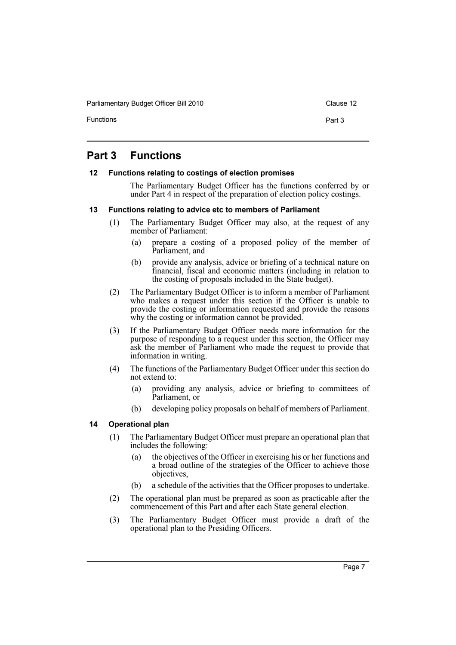Functions **Part 3** 

# <span id="page-8-0"></span>**Part 3 Functions**

#### <span id="page-8-1"></span>**12 Functions relating to costings of election promises**

The Parliamentary Budget Officer has the functions conferred by or under Part 4 in respect of the preparation of election policy costings.

#### <span id="page-8-2"></span>**13 Functions relating to advice etc to members of Parliament**

- (1) The Parliamentary Budget Officer may also, at the request of any member of Parliament:
	- (a) prepare a costing of a proposed policy of the member of Parliament, and
	- (b) provide any analysis, advice or briefing of a technical nature on financial, fiscal and economic matters (including in relation to the costing of proposals included in the State budget).
- (2) The Parliamentary Budget Officer is to inform a member of Parliament who makes a request under this section if the Officer is unable to provide the costing or information requested and provide the reasons why the costing or information cannot be provided.
- (3) If the Parliamentary Budget Officer needs more information for the purpose of responding to a request under this section, the Officer may ask the member of Parliament who made the request to provide that information in writing.
- (4) The functions of the Parliamentary Budget Officer under this section do not extend to:
	- (a) providing any analysis, advice or briefing to committees of Parliament, or
	- (b) developing policy proposals on behalf of members of Parliament.

# <span id="page-8-3"></span>**14 Operational plan**

- (1) The Parliamentary Budget Officer must prepare an operational plan that includes the following:
	- (a) the objectives of the Officer in exercising his or her functions and a broad outline of the strategies of the Officer to achieve those objectives,
	- (b) a schedule of the activities that the Officer proposes to undertake.
- (2) The operational plan must be prepared as soon as practicable after the commencement of this Part and after each State general election.
- (3) The Parliamentary Budget Officer must provide a draft of the operational plan to the Presiding Officers.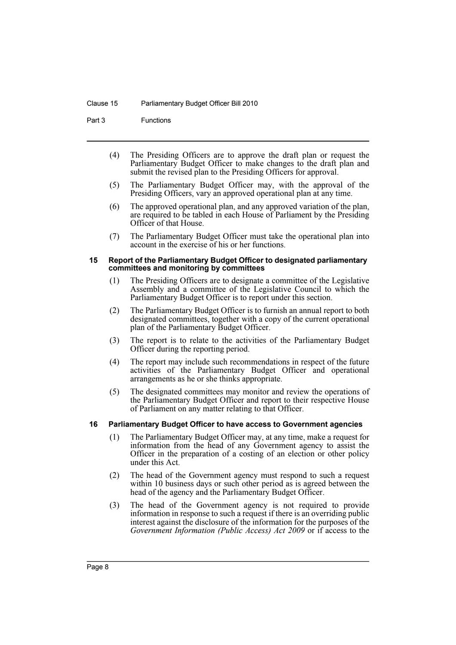#### Clause 15 Parliamentary Budget Officer Bill 2010

Part 3 Functions

- (4) The Presiding Officers are to approve the draft plan or request the Parliamentary Budget Officer to make changes to the draft plan and submit the revised plan to the Presiding Officers for approval.
- (5) The Parliamentary Budget Officer may, with the approval of the Presiding Officers, vary an approved operational plan at any time.
- (6) The approved operational plan, and any approved variation of the plan, are required to be tabled in each House of Parliament by the Presiding Officer of that House.
- (7) The Parliamentary Budget Officer must take the operational plan into account in the exercise of his or her functions.

#### <span id="page-9-0"></span>**15 Report of the Parliamentary Budget Officer to designated parliamentary committees and monitoring by committees**

- (1) The Presiding Officers are to designate a committee of the Legislative Assembly and a committee of the Legislative Council to which the Parliamentary Budget Officer is to report under this section.
- (2) The Parliamentary Budget Officer is to furnish an annual report to both designated committees, together with a copy of the current operational plan of the Parliamentary Budget Officer.
- (3) The report is to relate to the activities of the Parliamentary Budget Officer during the reporting period.
- (4) The report may include such recommendations in respect of the future activities of the Parliamentary Budget Officer and operational arrangements as he or she thinks appropriate.
- (5) The designated committees may monitor and review the operations of the Parliamentary Budget Officer and report to their respective House of Parliament on any matter relating to that Officer.

#### <span id="page-9-1"></span>**16 Parliamentary Budget Officer to have access to Government agencies**

- (1) The Parliamentary Budget Officer may, at any time, make a request for information from the head of any Government agency to assist the Officer in the preparation of a costing of an election or other policy under this Act.
- (2) The head of the Government agency must respond to such a request within 10 business days or such other period as is agreed between the head of the agency and the Parliamentary Budget Officer.
- (3) The head of the Government agency is not required to provide information in response to such a request if there is an overriding public interest against the disclosure of the information for the purposes of the *Government Information (Public Access) Act 2009* or if access to the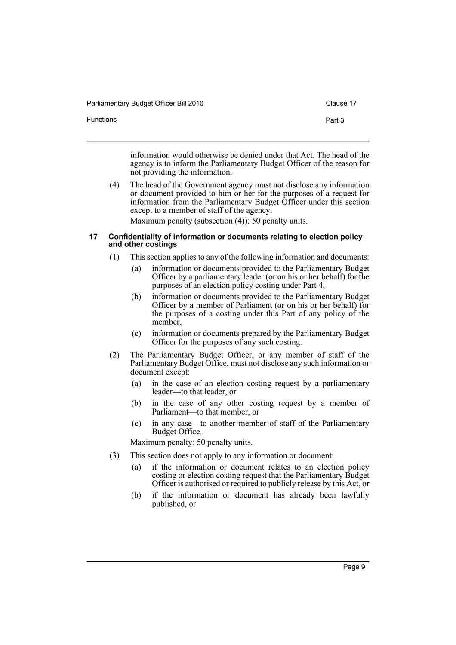| Parliamentary Budget Officer Bill 2010 | Clause 17 |
|----------------------------------------|-----------|
| Functions                              | Part 3    |

information would otherwise be denied under that Act. The head of the agency is to inform the Parliamentary Budget Officer of the reason for not providing the information.

(4) The head of the Government agency must not disclose any information or document provided to him or her for the purposes of a request for information from the Parliamentary Budget Officer under this section except to a member of staff of the agency.

Maximum penalty (subsection (4)): 50 penalty units.

#### <span id="page-10-0"></span>**17 Confidentiality of information or documents relating to election policy and other costings**

- (1) This section applies to any of the following information and documents:
	- (a) information or documents provided to the Parliamentary Budget Officer by a parliamentary leader (or on his or her behalf) for the purposes of an election policy costing under Part 4,
	- (b) information or documents provided to the Parliamentary Budget Officer by a member of Parliament (or on his or her behalf) for the purposes of a costing under this Part of any policy of the member,
	- (c) information or documents prepared by the Parliamentary Budget Officer for the purposes of any such costing.
- (2) The Parliamentary Budget Officer, or any member of staff of the Parliamentary Budget Office, must not disclose any such information or document except:
	- (a) in the case of an election costing request by a parliamentary leader—to that leader, or
	- (b) in the case of any other costing request by a member of Parliament—to that member, or
	- (c) in any case—to another member of staff of the Parliamentary Budget Office.

Maximum penalty: 50 penalty units.

- (3) This section does not apply to any information or document:
	- (a) if the information or document relates to an election policy costing or election costing request that the Parliamentary Budget Officer is authorised or required to publicly release by this Act, or
	- (b) if the information or document has already been lawfully published, or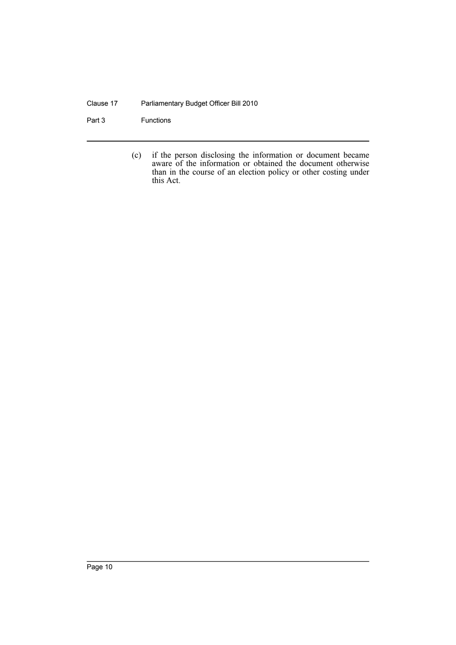### Clause 17 Parliamentary Budget Officer Bill 2010

Part 3 Functions

(c) if the person disclosing the information or document became aware of the information or obtained the document otherwise than in the course of an election policy or other costing under this Act.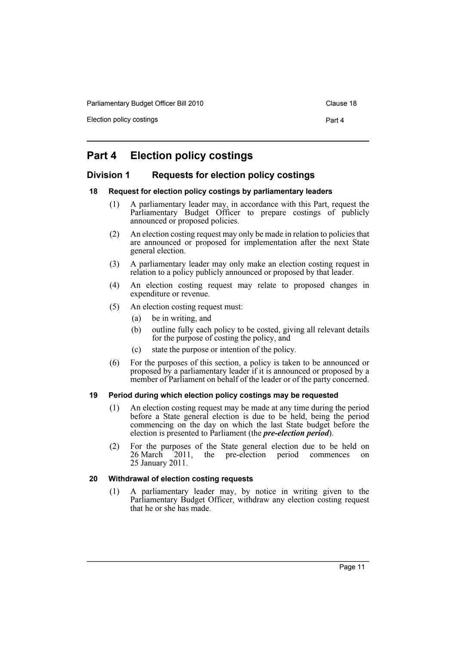Election policy costings **Part 4** 

# <span id="page-12-0"></span>**Part 4 Election policy costings**

# <span id="page-12-1"></span>**Division 1 Requests for election policy costings**

#### <span id="page-12-2"></span>**18 Request for election policy costings by parliamentary leaders**

- (1) A parliamentary leader may, in accordance with this Part, request the Parliamentary Budget Officer to prepare costings of publicly announced or proposed policies.
- (2) An election costing request may only be made in relation to policies that are announced or proposed for implementation after the next State general election.
- (3) A parliamentary leader may only make an election costing request in relation to a policy publicly announced or proposed by that leader.
- (4) An election costing request may relate to proposed changes in expenditure or revenue.
- (5) An election costing request must:
	- (a) be in writing, and
	- (b) outline fully each policy to be costed, giving all relevant details for the purpose of costing the policy, and
	- (c) state the purpose or intention of the policy.
- (6) For the purposes of this section, a policy is taken to be announced or proposed by a parliamentary leader if it is announced or proposed by a member of Parliament on behalf of the leader or of the party concerned.

# <span id="page-12-3"></span>**19 Period during which election policy costings may be requested**

- (1) An election costing request may be made at any time during the period before a State general election is due to be held, being the period commencing on the day on which the last State budget before the election is presented to Parliament (the *pre-election period*).
- (2) For the purposes of the State general election due to be held on 26 March 2011, the pre-election period commences on 25 January 2011.

# <span id="page-12-4"></span>**20 Withdrawal of election costing requests**

(1) A parliamentary leader may, by notice in writing given to the Parliamentary Budget Officer, withdraw any election costing request that he or she has made.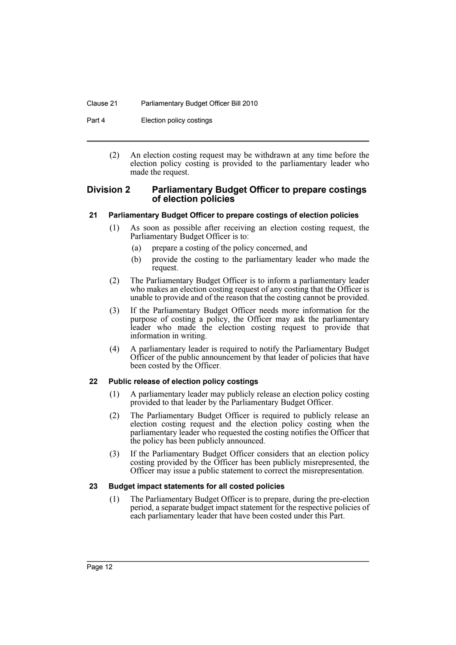#### Clause 21 Parliamentary Budget Officer Bill 2010

Part 4 **Election policy costings** 

(2) An election costing request may be withdrawn at any time before the election policy costing is provided to the parliamentary leader who made the request.

### <span id="page-13-0"></span>**Division 2 Parliamentary Budget Officer to prepare costings of election policies**

#### <span id="page-13-1"></span>**21 Parliamentary Budget Officer to prepare costings of election policies**

- (1) As soon as possible after receiving an election costing request, the Parliamentary Budget Officer is to:
	- (a) prepare a costing of the policy concerned, and
	- (b) provide the costing to the parliamentary leader who made the request.
- (2) The Parliamentary Budget Officer is to inform a parliamentary leader who makes an election costing request of any costing that the Officer is unable to provide and of the reason that the costing cannot be provided.
- (3) If the Parliamentary Budget Officer needs more information for the purpose of costing a policy, the Officer may ask the parliamentary leader who made the election costing request to provide that information in writing.
- (4) A parliamentary leader is required to notify the Parliamentary Budget Officer of the public announcement by that leader of policies that have been costed by the Officer.

# <span id="page-13-2"></span>**22 Public release of election policy costings**

- (1) A parliamentary leader may publicly release an election policy costing provided to that leader by the Parliamentary Budget Officer.
- (2) The Parliamentary Budget Officer is required to publicly release an election costing request and the election policy costing when the parliamentary leader who requested the costing notifies the Officer that the policy has been publicly announced.
- (3) If the Parliamentary Budget Officer considers that an election policy costing provided by the Officer has been publicly misrepresented, the Officer may issue a public statement to correct the misrepresentation.

# <span id="page-13-3"></span>**23 Budget impact statements for all costed policies**

(1) The Parliamentary Budget Officer is to prepare, during the pre-election period, a separate budget impact statement for the respective policies of each parliamentary leader that have been costed under this Part.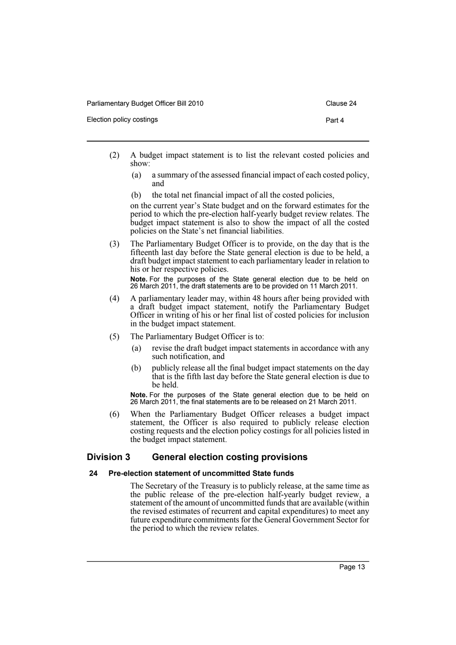- 
- (2) A budget impact statement is to list the relevant costed policies and show:
	- (a) a summary of the assessed financial impact of each costed policy, and
	- (b) the total net financial impact of all the costed policies,

on the current year's State budget and on the forward estimates for the period to which the pre-election half-yearly budget review relates. The budget impact statement is also to show the impact of all the costed policies on the State's net financial liabilities.

(3) The Parliamentary Budget Officer is to provide, on the day that is the fifteenth last day before the State general election is due to be held, a draft budget impact statement to each parliamentary leader in relation to his or her respective policies. **Note.** For the purposes of the State general election due to be held on

26 March 2011, the draft statements are to be provided on 11 March 2011.

- (4) A parliamentary leader may, within 48 hours after being provided with a draft budget impact statement, notify the Parliamentary Budget Officer in writing of his or her final list of costed policies for inclusion in the budget impact statement.
- (5) The Parliamentary Budget Officer is to:
	- (a) revise the draft budget impact statements in accordance with any such notification, and
	- (b) publicly release all the final budget impact statements on the day that is the fifth last day before the State general election is due to be held.

**Note.** For the purposes of the State general election due to be held on 26 March 2011, the final statements are to be released on 21 March 2011.

(6) When the Parliamentary Budget Officer releases a budget impact statement, the Officer is also required to publicly release election costing requests and the election policy costings for all policies listed in the budget impact statement.

# <span id="page-14-0"></span>**Division 3 General election costing provisions**

#### <span id="page-14-1"></span>**24 Pre-election statement of uncommitted State funds**

The Secretary of the Treasury is to publicly release, at the same time as the public release of the pre-election half-yearly budget review, a statement of the amount of uncommitted funds that are available (within the revised estimates of recurrent and capital expenditures) to meet any future expenditure commitments for the General Government Sector for the period to which the review relates.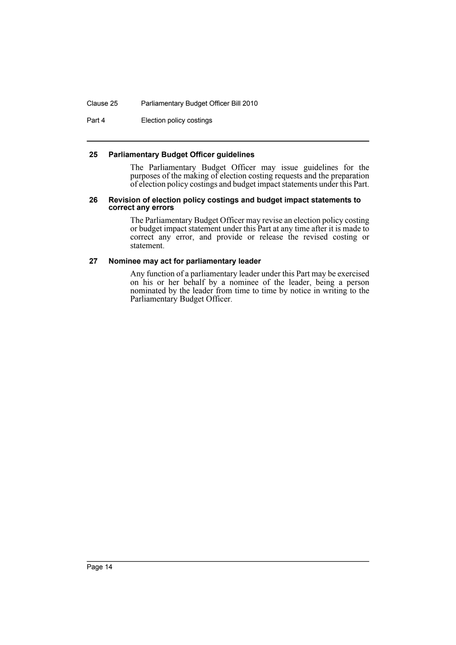#### Clause 25 Parliamentary Budget Officer Bill 2010

Part 4 **Election policy costings** 

#### <span id="page-15-0"></span>**25 Parliamentary Budget Officer guidelines**

The Parliamentary Budget Officer may issue guidelines for the purposes of the making of election costing requests and the preparation of election policy costings and budget impact statements under this Part.

#### <span id="page-15-1"></span>**26 Revision of election policy costings and budget impact statements to correct any errors**

The Parliamentary Budget Officer may revise an election policy costing or budget impact statement under this Part at any time after it is made to correct any error, and provide or release the revised costing or statement.

#### <span id="page-15-2"></span>**27 Nominee may act for parliamentary leader**

Any function of a parliamentary leader under this Part may be exercised on his or her behalf by a nominee of the leader, being a person nominated by the leader from time to time by notice in writing to the Parliamentary Budget Officer.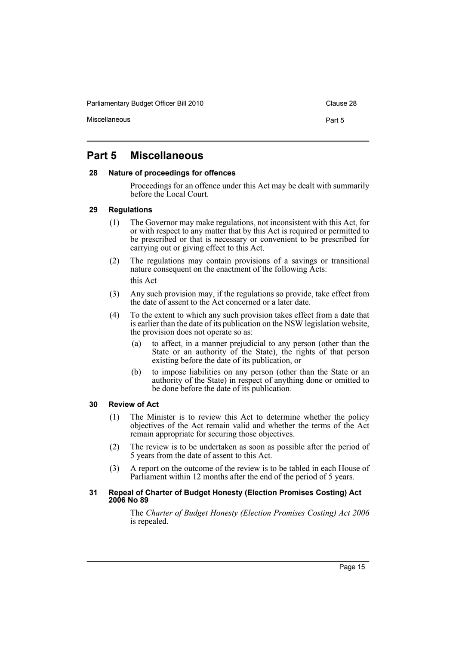Miscellaneous **Part 5** 

# <span id="page-16-0"></span>**Part 5 Miscellaneous**

#### <span id="page-16-1"></span>**28 Nature of proceedings for offences**

Proceedings for an offence under this Act may be dealt with summarily before the Local Court.

#### <span id="page-16-2"></span>**29 Regulations**

- (1) The Governor may make regulations, not inconsistent with this Act, for or with respect to any matter that by this Act is required or permitted to be prescribed or that is necessary or convenient to be prescribed for carrying out or giving effect to this Act.
- (2) The regulations may contain provisions of a savings or transitional nature consequent on the enactment of the following Acts: this Act
- (3) Any such provision may, if the regulations so provide, take effect from the date of assent to the Act concerned or a later date.
- (4) To the extent to which any such provision takes effect from a date that is earlier than the date of its publication on the NSW legislation website, the provision does not operate so as:
	- (a) to affect, in a manner prejudicial to any person (other than the State or an authority of the State), the rights of that person existing before the date of its publication, or
	- (b) to impose liabilities on any person (other than the State or an authority of the State) in respect of anything done or omitted to be done before the date of its publication.

#### <span id="page-16-3"></span>**30 Review of Act**

- (1) The Minister is to review this Act to determine whether the policy objectives of the Act remain valid and whether the terms of the Act remain appropriate for securing those objectives.
- (2) The review is to be undertaken as soon as possible after the period of 5 years from the date of assent to this Act.
- (3) A report on the outcome of the review is to be tabled in each House of Parliament within 12 months after the end of the period of 5 years.

#### <span id="page-16-4"></span>**31 Repeal of Charter of Budget Honesty (Election Promises Costing) Act 2006 No 89**

The *Charter of Budget Honesty (Election Promises Costing) Act 2006* is repealed.